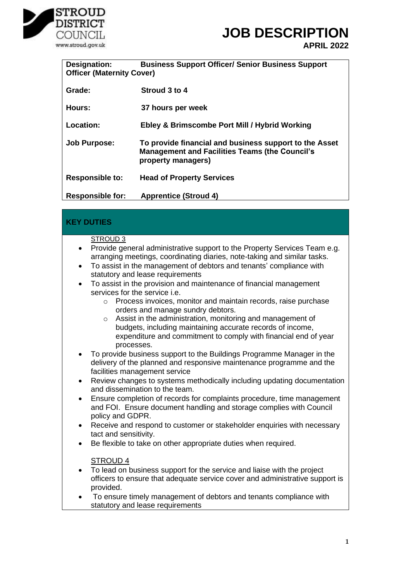

**APRIL 2022**

| <b>Designation:</b><br><b>Officer (Maternity Cover)</b> | <b>Business Support Officer/ Senior Business Support</b>                                                                              |
|---------------------------------------------------------|---------------------------------------------------------------------------------------------------------------------------------------|
| Grade:                                                  | Stroud 3 to 4                                                                                                                         |
| Hours:                                                  | 37 hours per week                                                                                                                     |
| Location:                                               | Ebley & Brimscombe Port Mill / Hybrid Working                                                                                         |
| <b>Job Purpose:</b>                                     | To provide financial and business support to the Asset<br><b>Management and Facilities Teams (the Council's</b><br>property managers) |
| <b>Responsible to:</b>                                  | <b>Head of Property Services</b>                                                                                                      |
| <b>Responsible for:</b>                                 | <b>Apprentice (Stroud 4)</b>                                                                                                          |

### **KEY DUTIES**

#### STROUD 3

- Provide general administrative support to the Property Services Team e.g. arranging meetings, coordinating diaries, note-taking and similar tasks.
- To assist in the management of debtors and tenants' compliance with statutory and lease requirements
- To assist in the provision and maintenance of financial management services for the service i.e.
	- o Process invoices, monitor and maintain records, raise purchase orders and manage sundry debtors.
	- Assist in the administration, monitoring and management of budgets, including maintaining accurate records of income, expenditure and commitment to comply with financial end of year processes.
- To provide business support to the Buildings Programme Manager in the delivery of the planned and responsive maintenance programme and the facilities management service
- Review changes to systems methodically including updating documentation and dissemination to the team.
- Ensure completion of records for complaints procedure, time management and FOI. Ensure document handling and storage complies with Council policy and GDPR.
- Receive and respond to customer or stakeholder enquiries with necessary tact and sensitivity.
- Be flexible to take on other appropriate duties when required.

#### STROUD 4

- To lead on business support for the service and liaise with the project officers to ensure that adequate service cover and administrative support is provided.
- To ensure timely management of debtors and tenants compliance with statutory and lease requirements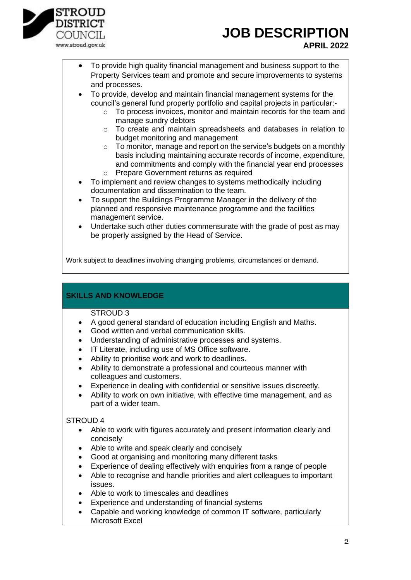

• To provide high quality financial management and business support to the Property Services team and promote and secure improvements to systems and processes.

• To provide, develop and maintain financial management systems for the council's general fund property portfolio and capital projects in particular:-

- o To process invoices, monitor and maintain records for the team and manage sundry debtors
- o To create and maintain spreadsheets and databases in relation to budget monitoring and management
- $\circ$  To monitor, manage and report on the service's budgets on a monthly basis including maintaining accurate records of income, expenditure, and commitments and comply with the financial year end processes o Prepare Government returns as required
- To implement and review changes to systems methodically including documentation and dissemination to the team.
- To support the Buildings Programme Manager in the delivery of the planned and responsive maintenance programme and the facilities management service.
- Undertake such other duties commensurate with the grade of post as may be properly assigned by the Head of Service.

Work subject to deadlines involving changing problems, circumstances or demand.

### **SKILLS AND KNOWLEDGE**

#### STROUD 3

- A good general standard of education including English and Maths.
- Good written and verbal communication skills.
- Understanding of administrative processes and systems.
- IT Literate, including use of MS Office software.
- Ability to prioritise work and work to deadlines.
- Ability to demonstrate a professional and courteous manner with colleagues and customers.
- Experience in dealing with confidential or sensitive issues discreetly.
- Ability to work on own initiative, with effective time management, and as part of a wider team.

### STROUD 4

- Able to work with figures accurately and present information clearly and concisely
- Able to write and speak clearly and concisely
- Good at organising and monitoring many different tasks
- Experience of dealing effectively with enquiries from a range of people
- Able to recognise and handle priorities and alert colleagues to important issues.
- Able to work to timescales and deadlines
- Experience and understanding of financial systems
- Capable and working knowledge of common IT software, particularly Microsoft Excel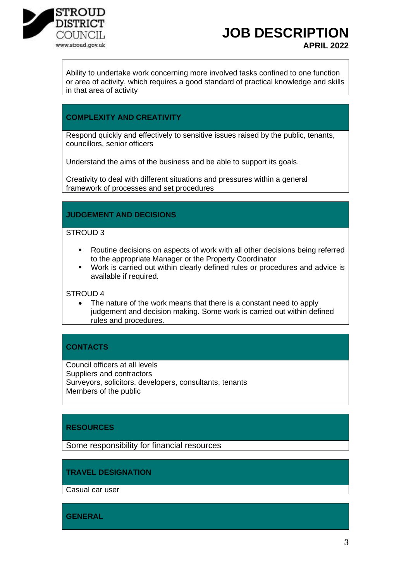

Ability to undertake work concerning more involved tasks confined to one function or area of activity, which requires a good standard of practical knowledge and skills in that area of activity

## **COMPLEXITY AND CREATIVITY**

Respond quickly and effectively to sensitive issues raised by the public, tenants, councillors, senior officers

Understand the aims of the business and be able to support its goals.

Creativity to deal with different situations and pressures within a general framework of processes and set procedures

### **JUDGEMENT AND DECISIONS**

### STROUD<sub>3</sub>

- Routine decisions on aspects of work with all other decisions being referred to the appropriate Manager or the Property Coordinator
- Work is carried out within clearly defined rules or procedures and advice is available if required.

STROUD 4

The nature of the work means that there is a constant need to apply judgement and decision making. Some work is carried out within defined rules and procedures.

## **CONTACTS**

Council officers at all levels Suppliers and contractors Surveyors, solicitors, developers, consultants, tenants Members of the public

## **RESOURCES**

Some responsibility for financial resources

#### **TRAVEL DESIGNATION**

Casual car user

**GENERAL**